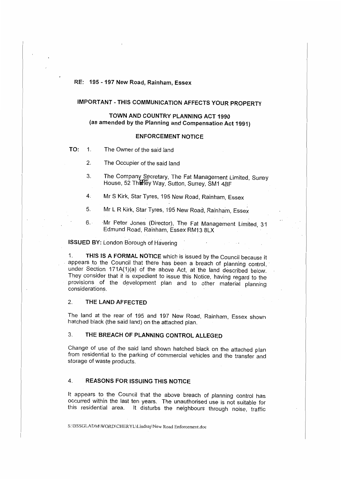### RE: 195 -197 New Road, Rainham, Essex

# **IMPORTANT -THIS COMMUNICATION AFFECTS YOUR PROPERTY**

# **TOWN AND COUNTRY PLANNING ACT 1990 (as amended by the Planning and Compensation Act 1991)**

#### **ENFORCEMENT NOTICE**

- **TO:** 1. The Owner of the said land
	- 2. The Occupier of the said land
	- 3. The Company Secretary, The Fat Management Limited, Surrey House, 52 The ley Way, Sutton, Surrey, SM1 4BF
	- 4. Mr S Kirk, Star Tyres, 195 New Road, Rainham, Essex
	- 5. Mr L R Kirk, Star Tyres, 195 New Road, Rainham, Essex
	- 6. Mr Peter Jones (Director), The Fat Management Limited, 31 Edmund Road, Rainham, Essex RM13 8LX

#### **ISSUED BY: London Borough of Havering**

1. **THIS IS A FORMAL NOTICE** which is issued by the Council because it appears to the Council that there has been a breach of planning control, under Section 171A(1)(a) of the above Act, at the land described below. They consider that it is expedient to issue this Notice, having regard to the provisions of the development plan and to other material planning considerations.

# 2. **THE LAND AFFECTED**

The land at the rear of 195 and 197 New Road, Rainham, Essex shown hatched black (the said land) on the attached plan.

# 3. **THE BREACH OF PLANNING CONTROL ALLEGED**

Change of use of the said land shown hatched black on the attached plan from residential to the parking of commercial vehicles and the transfer and storage of waste products.

# 4. **REASONS FOR ISSUING THIS NOTICE**

It appears to the Council that the above breach of planning control has occurred within the last ten years. The unauthorised use is not suitable for this residential area. It disturbs the neighbours through noise, traffic

S:\DSSGLADM\WORD\CHER YL\Lindsay\New Road Enforcement.doc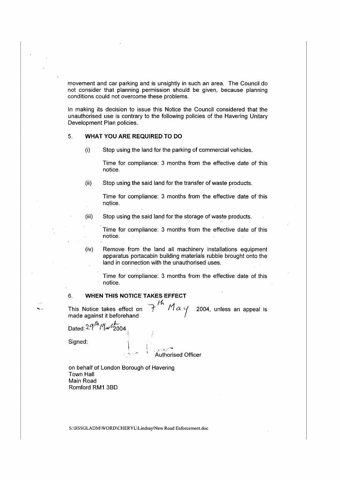movement and car parking and is unsightly in such an area. The Council do not consider that planning permission should be given, because planning conditions could not overcome these problems.

In making its decision to issue this Notice the Council considered that the unauthorised use is contrary to the following policies of the Havering Unitary Development Plan policies.

#### 5. **WHAT YOU ARE REQUIRED TO DO**

(i) Stop using the land for the parking of commercial vehicles.

Time for compliance: 3 months from the effective date of this notice.

(ii) Stop using the said land for the transfer of waste products.

Time for compliance: 3 months from the effective date of this notice.

(iii) Stop using the said land for the storage of waste products.

Time for compliance: 3 months from the effective date of this notice.

(iv) Remove from the land all machinery installations equipment apparatus portacabin building materials rubble brought onto the land in connection with the unauthorised uses.

Time for compliance: 3 months from the effective date of this notice.

# 6. **WHEN THIS NOTICE TAKES EFFECT**

This Notice takes effect on  $\overline{f}^{\prime n}$   $\overline{a}$   $\overline{a}$   $\overline{a}$  2004, unless an appeal is made against it beforehand

Dated:  $29<sup>/h</sup>$  Marc $\frac{1}{2004}$ 

Signed:

Áuthorised Officer

on behalf of London Borough of Havering Town Hall Main Road **Romford RM1 38D** 

S:\BSSGLADM\WORD\CHERYL\Lindsay\New Road Enforcement.doc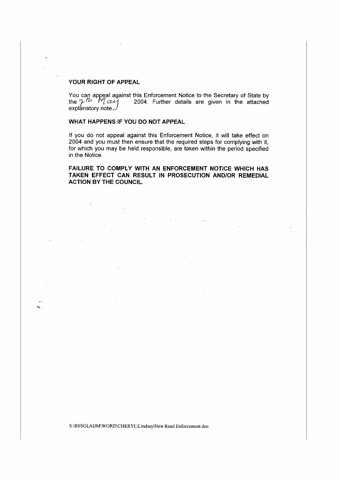#### **YOUR RIGHT OF APPEAL**

You can appeal against this Enforcement Notice to the Secretary of State by the  $\mathcal{T}^{I\mathcal{U}}$   $\mathcal{M}$   $\alpha$  $\mathcal{U}$  2004. Further details are given in the attached explanatory note. $\omega$ 

# **WHAT HAPPENS IF YOU DO NOT APPEAL**

If you do not appeal against this Enforcement Notice, it will take effect on 2004 and you must then ensure that the required steps for complying with it, for which you may be held responsible, are taken within the period specified in the Notice.

**FAILURE TO COMPLY WITH AN ENFORCEMENT NOTICE WHICH HAS TAKEN EFFECT CAN RESULT IN PROSECUTION AND/OR REMEDIAL ACTION BY THE COUNCIL.** 

S:\BSSGLADM\WORD\CHERYL\Lindsay\New Road Enforcement.doc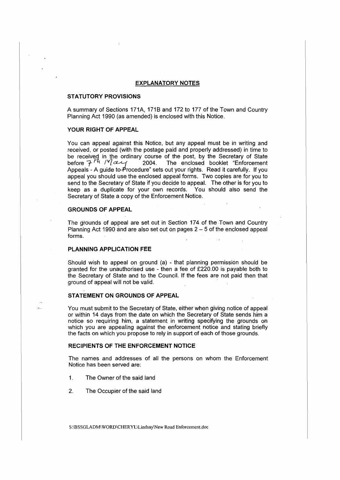### **EXPLANATORY NOTES**

#### **STATUTORY PROVISIONS**

A summary of Sections 171A, 1718 and 172 to 177 of the Town and Country Planning Act 1990 (as amended) is enclosed with this Notice.

## **YOUR RIGHT OF APPEAL**

You can appeal against this Notice, but any appeal must be in writing and received, or posted (with the postage paid and properly addressed) in time to be received in the ordinary course of the post, by the Secretary of State before  $7$  <sup>*H<sub>i</sub></sup> 1<sup>V</sup>l ce*  $\left|$  *2004. The enclosed booklet "Enforcement"*</sup> Appeals - A guide to-Procedure" sets out your rights. Read it carefully. If you appeal you should use the enclosed appeal forms. Two copies are for you to send to the Secretary of State if you decide to appeal. The other is for you to keep as a duplicate for your own records. You should also send the Secretary of State a copy of the Enforcement Notice.

# **GROUNDS OF APPEAL**

The grounds of appeal are set out in Section 174 of the Town and Country Planning Act 1990 and are also set out on pages  $2 - 5$  of the enclosed appeal forms.

# **PLANNING APPLICATION FEE**

Should wish to appeal on ground (a) - that planning permission should be granted for the unauthorised use - then a fee of £220.00 is payable both to the Secretary of State and to the Council. If the fees are not paid then that ground of appeal will not be valid.

#### **STATEMENT ON GROUNDS OF APPEAL**

You must submit to the Secretary of State, either when giving notice of appeal or within 14 days from the date on which the Secretary of State sends him a notice so requiring him, a statement in writing specifying the grounds on which you are appealing against the enforcement notice and stating briefly the facts on which you propose to rely in support of each of those grounds.

#### **RECIPIENTS OF THE ENFORCEMENT NOTICE**

The names and addresses of all the persons on whom the Enforcement Notice has been served are:

- 1. The Owner of the said land
- 2. The Occupier of the said land

S:\BSSGLADM\ WORD\CHERYL\Lindsay\New Road Enforcement.doc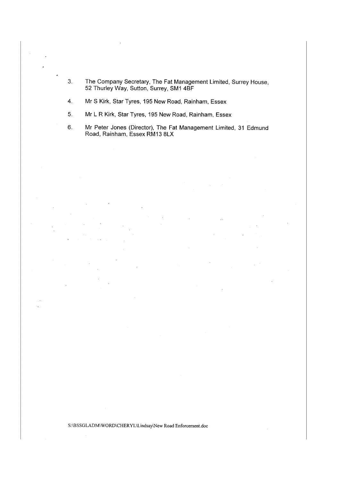3. The Company Secretary, The Fat Management Limited, Surrey House, 52 Thurley Way, Sutton, Surrey, SM1 4BF

4. Mr S Kirk, Star Tyres, 195 New Road, Rainham, Essex

- 5. Mr L R Kirk, Star Tyres, 195 New Road, Rainham, Essex
- 6. Mr Peter Jones (Director), The Fat Management Limited, 31 Edmund Road, Rainham, Essex RM13 8LX

S:\BSSGLADM\ WORD\CHERYL\Lindsay\New Road Enforcement.doc